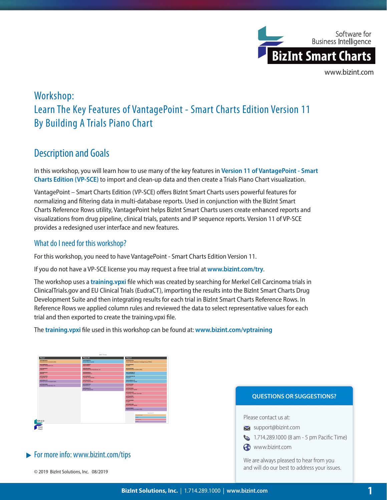

# Workshop: Learn The Key Features of VantagePoint - Smart Charts Edition Version 11 By Building A Trials Piano Chart

## Description and Goals

In this workshop, you will learn how to use many of the key features in **Version 11 of VantagePoint - Smart Charts Edition (VP-SCE)** to import and clean-up data and then create a Trials Piano Chart visualization.

VantagePoint – Smart Charts Edition (VP-SCE) offers BizInt Smart Charts users powerful features for normalizing and filtering data in multi-database reports. Used in conjunction with the BizInt Smart Charts Reference Rows utility, VantagePoint helps BizInt Smart Charts users create enhanced reports and visualizations from drug pipeline, clinical trials, patents and IP sequence reports. Version 11 of VP-SCE provides a redesigned user interface and new features.

#### What do I need for this workshop?

For this workshop, you need to have VantagePoint - Smart Charts Edition Version 11.

If you do not have a VP-SCE license you may request a free trial at **www.bizint.com/try**.

The workshop uses a **training.vpxi** file which was created by searching for Merkel Cell Carcinoma trials in ClinicalTrials.gov and EU Clinical Trials (EudraCT), importing the results into the BizInt Smart Charts Drug Development Suite and then integrating results for each trial in BizInt Smart Charts Reference Rows. In Reference Rows we applied column rules and reviewed the data to select representative values for each trial and then exported to create the training.vpxi file.

The **training.vpxi** file used in this workshop can be found at: **www.bizint.com/vptraining**

|                                                        | MCC Trials                                       |                                                             |
|--------------------------------------------------------|--------------------------------------------------|-------------------------------------------------------------|
| Phase 1                                                | Phase L/II                                       | Phase II                                                    |
| <b>NYTHWACCCCCC</b><br>National Cancer Institute (NCI) | <b>NYTHERRESS</b><br><b>Bristol-Myers Squibb</b> | MCTOWN 3779<br>Trans-Tauman Radiation Oncology Group (TROG) |
| ACTORDOMICA<br>Trillium Therapeutics Inc.              | NCT01440816<br>Merck KGaA                        | NCT02036476<br><b>Explicit</b>                              |
| <b>NCT02000257</b><br><b>ADD/Vie</b>                   | NCT02514824<br>Millennium Pharmaceuticals, Inc.  | NCT02267603<br>National Cancer Institute (NCI)              |
| NC102071757<br><b>Abb/Vie</b>                          | NCT02642303<br>Medimmune LLC                     | 2011-002226-27<br>GasaSmithidine                            |
| NCRO31EP663<br>ImaginAb, Inc.                          | NCT02906323<br><b>Tarveda Therapeutics</b>       | 2014-004725-29<br><b>Novastic</b>                           |
| <b>NCT02821179</b><br>National Cancer Institute (NCI)  | NCT03126110<br>Inorte Corporation                | 2016-000461-23<br>Brittol-Myers Squibb                      |
| NC103212404<br>Checkpoint Thempeutics, Inc.            | NCT03167164<br>NantCell, Inc.                    | <b>NCT02155647</b><br>Merck KGaA                            |
|                                                        | NCT03241173<br>Inorte Corporation                | NCT02196961<br>Bristol-Myers Squibb                         |
|                                                        |                                                  | NCT02251128<br>University Hospital, Grenoble                |
|                                                        |                                                  | NCT02065957<br>NantCwest, Inc.                              |
|                                                        |                                                  | <b>NCT02819842</b><br>Amena.                                |
|                                                        |                                                  | NCT03071406<br>Brittol-Myers Squibb                         |
|                                                        |                                                  | NCT02979625<br>National Cancer Institute (NCI)              |
|                                                        |                                                  | <b>Rand Story III</b>                                       |
|                                                        |                                                  | <b>After NETWORK</b>                                        |
| VP-SCE                                                 |                                                  | <b>House</b><br><b>Bally Barryout</b>                       |
|                                                        |                                                  | <b>Parties</b>                                              |

### $\blacktriangleright$  For more info: www.bizint.com/tips



© 2019 BizInt Solutions, Inc. 08/2019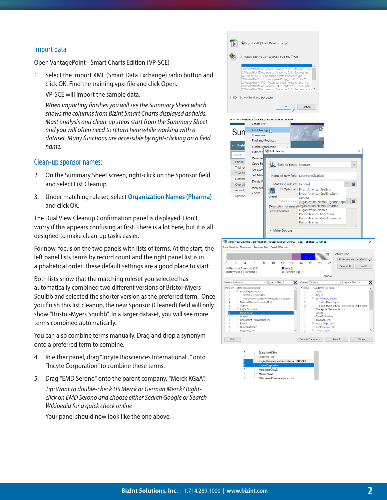#### Import data

Open VantagePoint - Smart Charts Edition (VP-SCE)

1. Select the Import XML (Smart Data Exchange) radio button and click OK. Find the training.vpxi file and click Open.

VP-SCE will import the sample data.

*When importing finishes you will see the Summary Sheet which shows the columns from BizInt Smart Charts displayed as fields. Most analysis and clean-up steps start from the Summary Sheet and you will often need to return here while working with a dataset. Many functions are accessible by right-clicking on a field name.* 

#### Clean-up sponsor names:

- 2. On the Summary Sheet screen, right-click on the Sponsor field and select List Cleanup.
- 3. Under matching ruleset, select **Organization Names (Pharma)** and click OK.

The Dual View Cleanup Confirmation panel is displayed. Don't worry if this appears confusing at first. There is a lot here, but it is all designed to make clean-up tasks easier.

For now, focus on the two panels with lists of terms. At the start, the left panel lists terms by record count and the right panel list is in alphabetical order. These default settings are a good place to start.

Both lists show that the matching ruleset you selected has automatically combined two different versions of Bristol-Myers Squibb and selected the shorter version as the preferred term. Once you finish this list cleanup, the new Sponsor (Cleaned) field will only show "Bristol-Myers Squibb". In a larger dataset, you will see more terms combined automatically.

You can also combine terms manually. Drag and drop a synonym onto a preferred term to combine.

- 4. In either panel, drag "Incyte Biosciences International..." onto "Incyte Corporation" to combine these terms.
- 5. Drag "EMD Serono" onto the parent company, "Merck KGaA".

*Tip: Want to double-check US Merck or German Merck? Rightclick on EMD Serono and choose either Search Google or Search Wikipedia for a quick check online*

Your panel should now look like the one above.

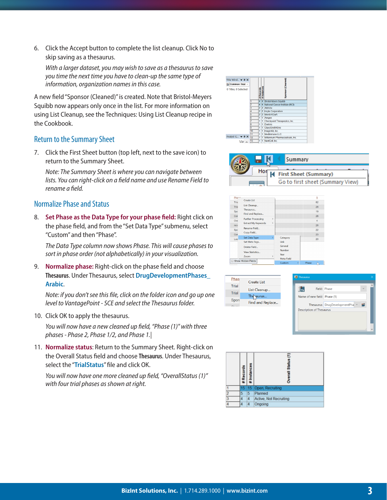6. Click the Accept button to complete the list cleanup. Click No to skip saving as a thesaurus.

*With a larger dataset, you may wish to save as a thesaurus to save you time the next time you have to clean-up the same type of information, organization names in this case.*

A new field "Sponsor (Cleaned)" is created. Note that Bristol-Meyers Squibb now appears only once in the list. For more information on using List Cleanup, see the Techniques: Using List Cleanup recipe in the Cookbook.

#### Return to the Summary Sheet

7. Click the First Sheet button (top left, next to the save icon) to return to the Summary Sheet.

*Note: The Summary Sheet is where you can navigate between lists. You can right-click on a field name and use Rename Field to rename a field.*

#### Normalize Phase and Status

8. **Set Phase as the Data Type for your phase field:** Right click on the phase field, and from the "Set Data Type" submenu, select "Custom" and then "Phase".

*The Data Type column now shows Phase. This will cause phases to sort in phase order (not alphabetically) in your visualization.*

9. **Normalize phase:** Right-click on the phase field and choose **Thesaurus**. Under Thesaurus, select **DrugDevelopmentPhases\_ Arabic**.

*Note: if you don't see this file, click on the folder icon and go up one level to VantagePoint - SCE and select the Thesaurus folder.*

10. Click OK to apply the thesaurus.

*You will now have a new cleaned up field, "Phase (1)" with three phases - Phase 2, Phase 1/2, and Phase 1.|*

11. **Normalize status**: Return to the Summary Sheet. Right-click on the Overall Status field and choose **Thesaurus**. Under Thesaurus, select the "**TrialStatus**" file and click OK.

*You will now have one more cleaned up field, "OverallStatus (1)" with four trial phases as shown at right.*